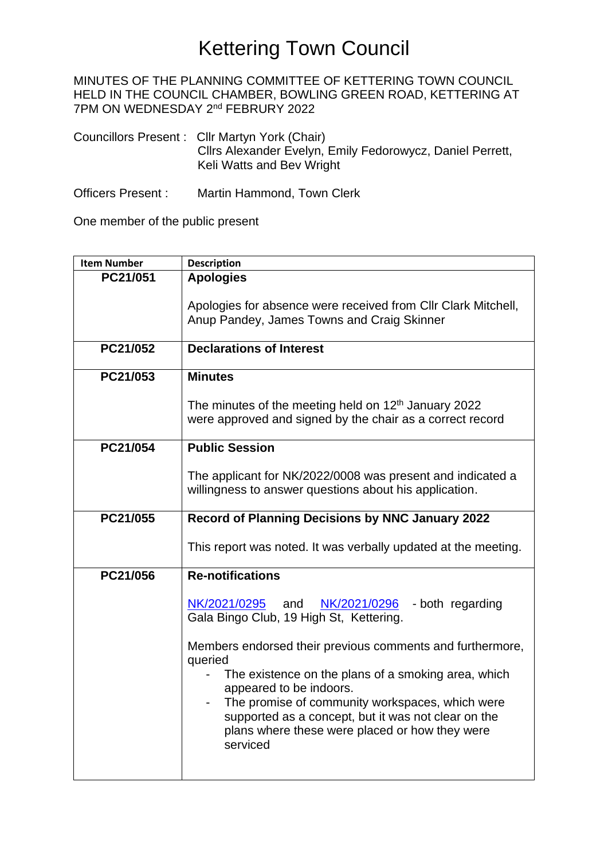MINUTES OF THE PLANNING COMMITTEE OF KETTERING TOWN COUNCIL HELD IN THE COUNCIL CHAMBER, BOWLING GREEN ROAD, KETTERING AT 7PM ON WEDNESDAY 2<sup>nd</sup> FEBRURY 2022

Councillors Present : Cllr Martyn York (Chair) Cllrs Alexander Evelyn, Emily Fedorowycz, Daniel Perrett, Keli Watts and Bev Wright

Officers Present : Martin Hammond, Town Clerk

One member of the public present

| <b>Item Number</b> | <b>Description</b>                                                                                                                                                                                                                                                                                                             |  |  |
|--------------------|--------------------------------------------------------------------------------------------------------------------------------------------------------------------------------------------------------------------------------------------------------------------------------------------------------------------------------|--|--|
| PC21/051           | <b>Apologies</b>                                                                                                                                                                                                                                                                                                               |  |  |
|                    | Apologies for absence were received from Cllr Clark Mitchell,<br>Anup Pandey, James Towns and Craig Skinner                                                                                                                                                                                                                    |  |  |
| PC21/052           | <b>Declarations of Interest</b>                                                                                                                                                                                                                                                                                                |  |  |
| PC21/053           | <b>Minutes</b>                                                                                                                                                                                                                                                                                                                 |  |  |
|                    | The minutes of the meeting held on 12 <sup>th</sup> January 2022<br>were approved and signed by the chair as a correct record                                                                                                                                                                                                  |  |  |
| PC21/054           | <b>Public Session</b>                                                                                                                                                                                                                                                                                                          |  |  |
|                    | The applicant for NK/2022/0008 was present and indicated a<br>willingness to answer questions about his application.                                                                                                                                                                                                           |  |  |
| PC21/055           | Record of Planning Decisions by NNC January 2022                                                                                                                                                                                                                                                                               |  |  |
|                    | This report was noted. It was verbally updated at the meeting.                                                                                                                                                                                                                                                                 |  |  |
| PC21/056           | <b>Re-notifications</b>                                                                                                                                                                                                                                                                                                        |  |  |
|                    | NK/2021/0295<br>$NK/2021/0296$ - both regarding<br>and<br>Gala Bingo Club, 19 High St, Kettering.                                                                                                                                                                                                                              |  |  |
|                    | Members endorsed their previous comments and furthermore,<br>queried<br>The existence on the plans of a smoking area, which<br>appeared to be indoors.<br>The promise of community workspaces, which were<br>supported as a concept, but it was not clear on the<br>plans where these were placed or how they were<br>serviced |  |  |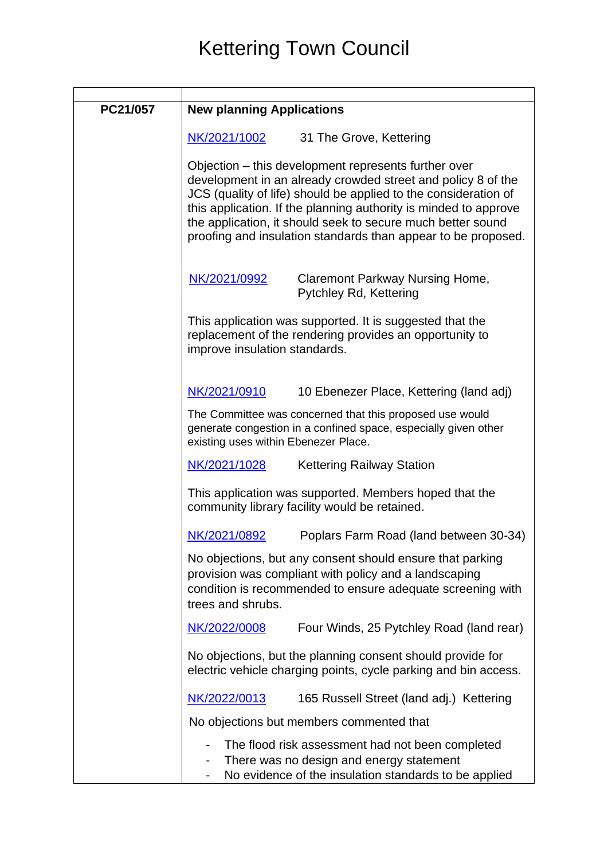| PC21/057 | <b>New planning Applications</b>                                                                                                                                                                                                                                                                                                                                                            |  |  |
|----------|---------------------------------------------------------------------------------------------------------------------------------------------------------------------------------------------------------------------------------------------------------------------------------------------------------------------------------------------------------------------------------------------|--|--|
|          | NK/2021/1002<br>31 The Grove, Kettering                                                                                                                                                                                                                                                                                                                                                     |  |  |
|          | Objection – this development represents further over<br>development in an already crowded street and policy 8 of the<br>JCS (quality of life) should be applied to the consideration of<br>this application. If the planning authority is minded to approve<br>the application, it should seek to secure much better sound<br>proofing and insulation standards than appear to be proposed. |  |  |
|          | NK/2021/0992<br>Claremont Parkway Nursing Home,<br><b>Pytchley Rd, Kettering</b>                                                                                                                                                                                                                                                                                                            |  |  |
|          | This application was supported. It is suggested that the<br>replacement of the rendering provides an opportunity to<br>improve insulation standards.                                                                                                                                                                                                                                        |  |  |
|          | NK/2021/0910<br>10 Ebenezer Place, Kettering (land adj)                                                                                                                                                                                                                                                                                                                                     |  |  |
|          | The Committee was concerned that this proposed use would<br>generate congestion in a confined space, especially given other<br>existing uses within Ebenezer Place.                                                                                                                                                                                                                         |  |  |
|          | NK/2021/1028<br><b>Kettering Railway Station</b>                                                                                                                                                                                                                                                                                                                                            |  |  |
|          | This application was supported. Members hoped that the<br>community library facility would be retained.                                                                                                                                                                                                                                                                                     |  |  |
|          | Poplars Farm Road (land between 30-34)<br>NK/2021/0892                                                                                                                                                                                                                                                                                                                                      |  |  |
|          | No objections, but any consent should ensure that parking<br>provision was compliant with policy and a landscaping<br>condition is recommended to ensure adequate screening with<br>trees and shrubs.                                                                                                                                                                                       |  |  |
|          | NK/2022/0008<br>Four Winds, 25 Pytchley Road (land rear)                                                                                                                                                                                                                                                                                                                                    |  |  |
|          | No objections, but the planning consent should provide for<br>electric vehicle charging points, cycle parking and bin access.                                                                                                                                                                                                                                                               |  |  |
|          | NK/2022/0013<br>165 Russell Street (land adj.) Kettering                                                                                                                                                                                                                                                                                                                                    |  |  |
|          | No objections but members commented that                                                                                                                                                                                                                                                                                                                                                    |  |  |
|          | The flood risk assessment had not been completed<br>There was no design and energy statement<br>No evidence of the insulation standards to be applied                                                                                                                                                                                                                                       |  |  |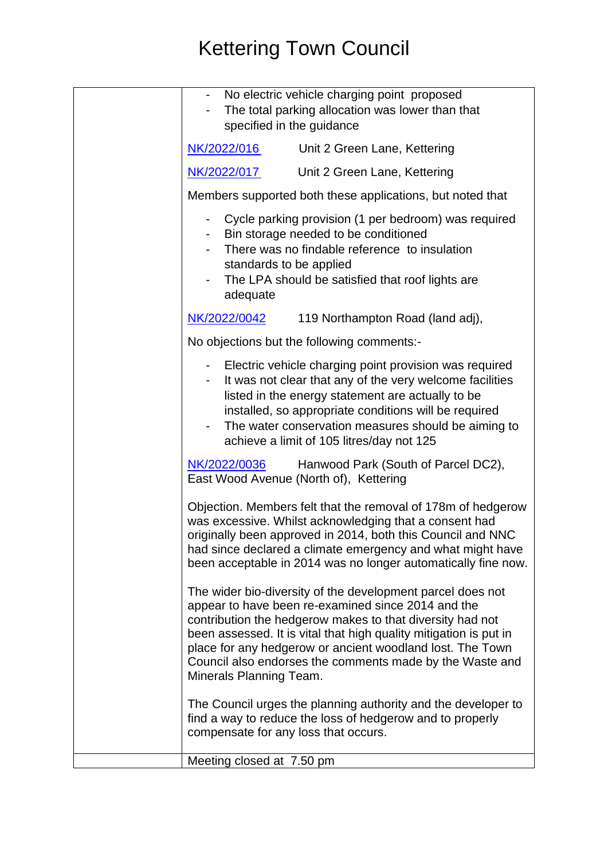| - No electric vehicle charging point proposed<br>The total parking allocation was lower than that<br>specified in the guidance                                                                                                                                                                                                                                                                         |                                     |
|--------------------------------------------------------------------------------------------------------------------------------------------------------------------------------------------------------------------------------------------------------------------------------------------------------------------------------------------------------------------------------------------------------|-------------------------------------|
| NK/2022/016                                                                                                                                                                                                                                                                                                                                                                                            | Unit 2 Green Lane, Kettering        |
| NK/2022/017                                                                                                                                                                                                                                                                                                                                                                                            | Unit 2 Green Lane, Kettering        |
| Members supported both these applications, but noted that                                                                                                                                                                                                                                                                                                                                              |                                     |
| Cycle parking provision (1 per bedroom) was required<br>$\overline{\phantom{a}}$<br>Bin storage needed to be conditioned<br>There was no findable reference to insulation<br>standards to be applied<br>The LPA should be satisfied that roof lights are<br>adequate                                                                                                                                   |                                     |
| NK/2022/0042                                                                                                                                                                                                                                                                                                                                                                                           | 119 Northampton Road (land adj),    |
| No objections but the following comments:-                                                                                                                                                                                                                                                                                                                                                             |                                     |
| - Electric vehicle charging point provision was required<br>It was not clear that any of the very welcome facilities<br>listed in the energy statement are actually to be<br>installed, so appropriate conditions will be required<br>The water conservation measures should be aiming to<br>achieve a limit of 105 litres/day not 125                                                                 |                                     |
| NK/2022/0036<br>East Wood Avenue (North of), Kettering                                                                                                                                                                                                                                                                                                                                                 | Hanwood Park (South of Parcel DC2), |
| Objection. Members felt that the removal of 178m of hedgerow<br>was excessive. Whilst acknowledging that a consent had<br>originally been approved in 2014, both this Council and NNC<br>had since declared a climate emergency and what might have<br>been acceptable in 2014 was no longer automatically fine now.                                                                                   |                                     |
| The wider bio-diversity of the development parcel does not<br>appear to have been re-examined since 2014 and the<br>contribution the hedgerow makes to that diversity had not<br>been assessed. It is vital that high quality mitigation is put in<br>place for any hedgerow or ancient woodland lost. The Town<br>Council also endorses the comments made by the Waste and<br>Minerals Planning Team. |                                     |
| The Council urges the planning authority and the developer to<br>find a way to reduce the loss of hedgerow and to properly<br>compensate for any loss that occurs.                                                                                                                                                                                                                                     |                                     |
| Meeting closed at 7.50 pm                                                                                                                                                                                                                                                                                                                                                                              |                                     |